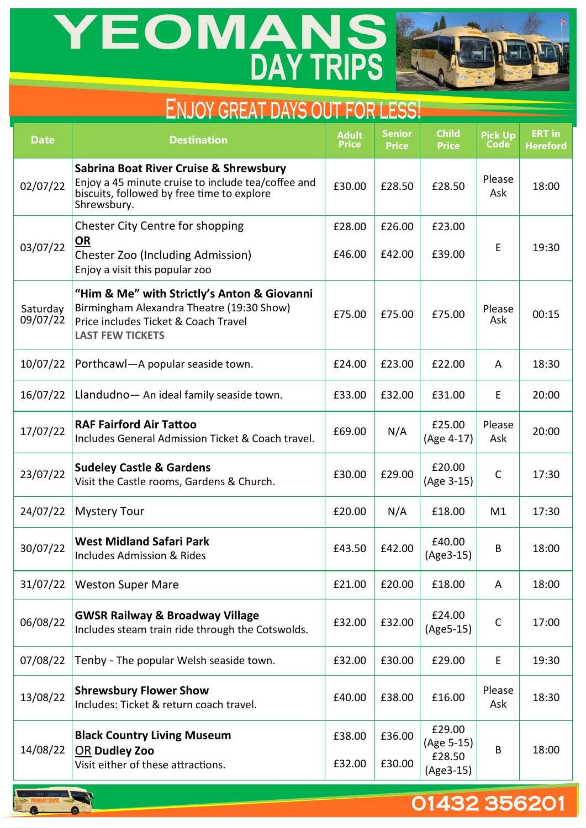# YEOMANS



## ENJOY GREAT DAYS OUT FOR LESS!

| <b>Date</b>          | <b>Destination</b>                                                                                                                                          | <b>Adult</b><br><b>Price</b> | <b>Senior</b><br><b>Price</b> | <b>Child</b><br><b>Price</b>                | <b>Pick Up</b><br><b>Code</b> | <b>ERT</b> in<br><b>Hereford</b> |
|----------------------|-------------------------------------------------------------------------------------------------------------------------------------------------------------|------------------------------|-------------------------------|---------------------------------------------|-------------------------------|----------------------------------|
| 02/07/22             | Sabrina Boat River Cruise & Shrewsbury<br>Enjoy a 45 minute cruise to include tea/coffee and<br>biscuits, followed by free time to explore<br>Shrewsbury.   |                              | £28.50                        | £28.50                                      | Please<br>Ask                 | 18:00                            |
| 03/07/22             | Chester City Centre for shopping<br><u>OR</u><br><b>Chester Zoo (Including Admission)</b><br>Enjoy a visit this popular zoo                                 |                              | £26.00<br>£42.00              | £23.00<br>£39.00                            | E                             | 19:30                            |
| Saturday<br>09/07/22 | "Him & Me" with Strictly's Anton & Giovanni<br>Birmingham Alexandra Theatre (19:30 Show)<br>Price includes Ticket & Coach Travel<br><b>LAST FEW TICKETS</b> |                              | £75.00                        | £75.00                                      | Please<br>Ask                 | 00:15                            |
| 10/07/22             | Porthcawl-A popular seaside town.                                                                                                                           | £24.00                       | £23.00                        | £22.00                                      | A                             | 18:30                            |
| 16/07/22             | Llandudno- An ideal family seaside town.                                                                                                                    | £33.00                       | £32.00                        | £31.00                                      | E                             | 20:00                            |
| 17/07/22             | <b>RAF Fairford Air Tattoo</b><br>Includes General Admission Ticket & Coach travel.                                                                         | £69.00                       | N/A                           | £25.00<br>(Age 4-17)                        | Please<br>Ask                 | 20:00                            |
| 23/07/22             | <b>Sudeley Castle &amp; Gardens</b><br>Visit the Castle rooms, Gardens & Church.                                                                            | £30.00                       | £29.00                        | £20.00<br>(Age 3-15)                        | $\mathsf{C}$                  | 17:30                            |
| 24/07/22             | <b>Mystery Tour</b>                                                                                                                                         | £20.00                       | N/A                           | £18.00                                      | M1                            | 17:30                            |
| 30/07/22             | <b>West Midland Safari Park</b><br>Includes Admission & Rides                                                                                               | £43.50                       | £42.00                        | £40.00<br>(Age3-15)                         | B                             | 18:00                            |
| 31/07/22             | <b>Weston Super Mare</b>                                                                                                                                    | £21.00                       | £20.00                        | £18.00                                      | A                             | 18:00                            |
| 06/08/22             | <b>GWSR Railway &amp; Broadway Village</b><br>Includes steam train ride through the Cotswolds.                                                              | £32.00                       | £32.00                        | £24.00<br>$(Age5-15)$                       | $\mathsf{C}$                  | 17:00                            |
| 07/08/22             | Tenby - The popular Welsh seaside town.                                                                                                                     | £32.00                       | £30.00                        | £29.00                                      | E                             | 19:30                            |
| 13/08/22             | <b>Shrewsbury Flower Show</b><br>Includes: Ticket & return coach travel.                                                                                    | £40.00                       | £38.00                        | £16.00                                      | Please<br>Ask                 | 18:30                            |
| 14/08/22             | <b>Black Country Living Museum</b><br>OR Dudley Zoo<br>Visit either of these attractions.                                                                   | £38.00<br>£32.00             | £36.00<br>£30.00              | £29.00<br>(Age 5-15)<br>£28.50<br>(Age3-15) | B                             | 18:00                            |



### 01432 356201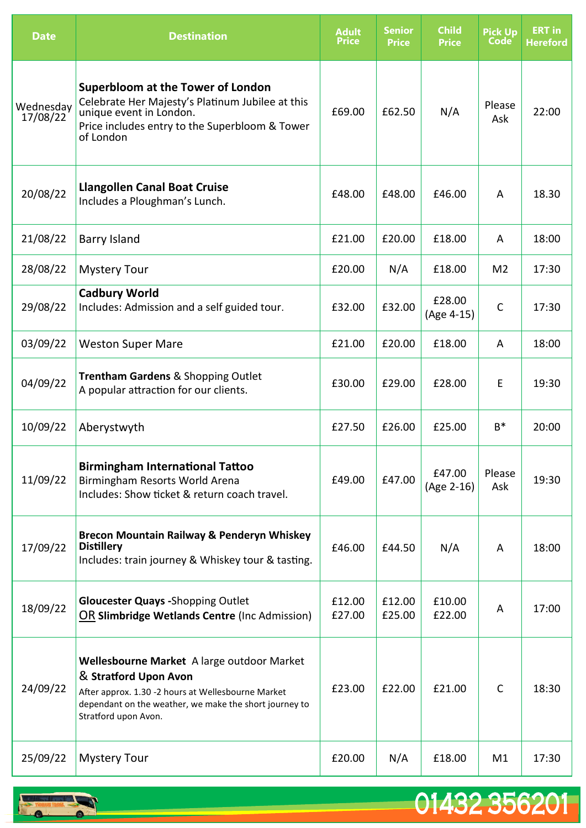| <b>Date</b>           | <b>Destination</b>                                                                                                                                                                                          | <b>Adult</b><br><b>Price</b> | <b>Senior</b><br><b>Price</b> | <b>Child</b><br><b>Price</b> | <b>Pick Up</b><br>Code | <b>ERT in</b><br><b>Hereford</b> |
|-----------------------|-------------------------------------------------------------------------------------------------------------------------------------------------------------------------------------------------------------|------------------------------|-------------------------------|------------------------------|------------------------|----------------------------------|
| Wednesday<br>17/08/22 | <b>Superbloom at the Tower of London</b><br>Celebrate Her Majesty's Platinum Jubilee at this<br>unique event in London.<br>Price includes entry to the Superbloom & Tower<br>of London                      | £69.00                       | £62.50                        | N/A                          | Please<br>Ask          | 22:00                            |
| 20/08/22              | <b>Llangollen Canal Boat Cruise</b><br>Includes a Ploughman's Lunch.                                                                                                                                        | £48.00                       | £48.00                        | £46.00                       | A                      | 18.30                            |
| 21/08/22              | <b>Barry Island</b>                                                                                                                                                                                         | £21.00                       | £20.00                        | £18.00                       | A                      | 18:00                            |
| 28/08/22              | <b>Mystery Tour</b>                                                                                                                                                                                         | £20.00                       | N/A                           | £18.00                       | M <sub>2</sub>         | 17:30                            |
| 29/08/22              | <b>Cadbury World</b><br>Includes: Admission and a self guided tour.                                                                                                                                         | £32.00                       | £32.00                        | £28.00<br>(Age 4-15)         | $\mathsf{C}$           | 17:30                            |
| 03/09/22              | <b>Weston Super Mare</b>                                                                                                                                                                                    | £21.00                       | £20.00                        | £18.00                       | A                      | 18:00                            |
| 04/09/22              | <b>Trentham Gardens &amp; Shopping Outlet</b><br>A popular attraction for our clients.                                                                                                                      | £30.00                       | £29.00                        | £28.00                       | E                      | 19:30                            |
| 10/09/22              | Aberystwyth                                                                                                                                                                                                 | £27.50                       | £26.00                        | £25.00                       | $B^*$                  | 20:00                            |
| 11/09/22              | <b>Birmingham International Tattoo</b><br>Birmingham Resorts World Arena<br>Includes: Show ticket & return coach travel.                                                                                    | £49.00                       | £47.00                        | £47.00<br>(Age 2-16)         | Please<br>Ask          | 19:30                            |
| 17/09/22              | <b>Brecon Mountain Railway &amp; Penderyn Whiskey</b><br><b>Distillery</b><br>Includes: train journey & Whiskey tour & tasting.                                                                             | £46.00                       | £44.50                        | N/A                          | A                      | 18:00                            |
| 18/09/22              | <b>Gloucester Quays - Shopping Outlet</b><br>OR Slimbridge Wetlands Centre (Inc Admission)                                                                                                                  | £12.00<br>£27.00             | £12.00<br>£25.00              | £10.00<br>£22.00             | A                      | 17:00                            |
| 24/09/22              | Wellesbourne Market A large outdoor Market<br>& Stratford Upon Avon<br>After approx. 1.30 -2 hours at Wellesbourne Market<br>dependant on the weather, we make the short journey to<br>Stratford upon Avon. | £23.00                       | £22.00                        | £21.00                       | $\mathsf{C}$           | 18:30                            |
| 25/09/22              | <b>Mystery Tour</b>                                                                                                                                                                                         | £20.00                       | N/A                           | £18.00                       | M1                     | 17:30                            |

01432 356201

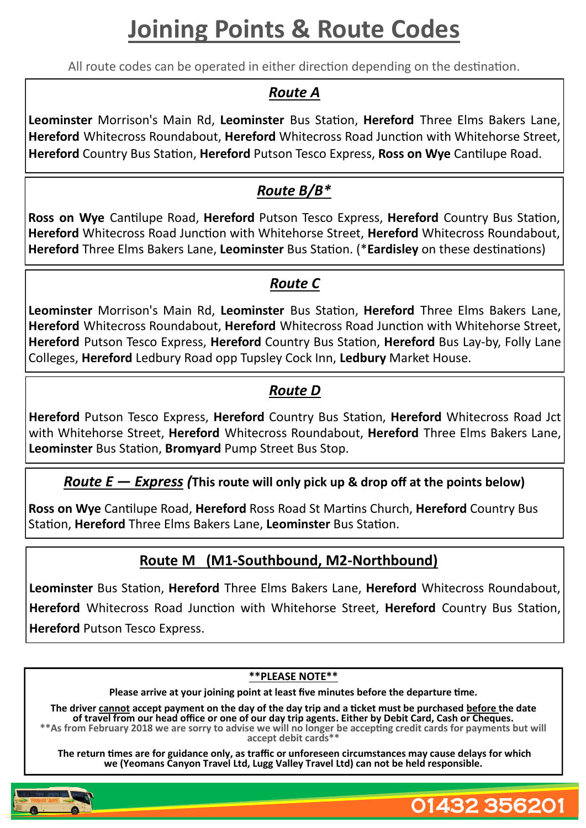## **Joining Points & Route Codes**

All route codes can be operated in either direction depending on the destination.

#### *Route A*

**Leominster** Morrison's Main Rd, **Leominster** Bus Station, **Hereford** Three Elms Bakers Lane, **Hereford** Whitecross Roundabout, **Hereford** Whitecross Road Junction with Whitehorse Street, **Hereford** Country Bus Station, **Hereford** Putson Tesco Express, **Ross on Wye** Cantilupe Road.

#### *Route B/B\**

**Ross on Wye** Cantilupe Road, **Hereford** Putson Tesco Express, **Hereford** Country Bus Station, **Hereford** Whitecross Road Junction with Whitehorse Street, **Hereford** Whitecross Roundabout, **Hereford** Three Elms Bakers Lane, **Leominster** Bus Station. (\***Eardisley** on these destinations)

#### *Route C*

**Leominster** Morrison's Main Rd, **Leominster** Bus Station, **Hereford** Three Elms Bakers Lane, **Hereford** Whitecross Roundabout, **Hereford** Whitecross Road Junction with Whitehorse Street, **Hereford** Putson Tesco Express, **Hereford** Country Bus Station, **Hereford** Bus Lay-by, Folly Lane Colleges, **Hereford** Ledbury Road opp Tupsley Cock Inn, **Ledbury** Market House.

#### *Route D*

**Hereford** Putson Tesco Express, **Hereford** Country Bus Station, **Hereford** Whitecross Road Jct with Whitehorse Street, **Hereford** Whitecross Roundabout, **Hereford** Three Elms Bakers Lane, **Leominster** Bus Station, **Bromyard** Pump Street Bus Stop.

#### *Route E — Express (***This route will only pick up & drop off at the points below)**

**Ross on Wye** Cantilupe Road, **Hereford** Ross Road St Martins Church, **Hereford** Country Bus Station, **Hereford** Three Elms Bakers Lane, **Leominster** Bus Station.

#### **Route M (M1-Southbound, M2-Northbound)**

**Leominster** Bus Station, **Hereford** Three Elms Bakers Lane, **Hereford** Whitecross Roundabout, **Hereford** Whitecross Road Junction with Whitehorse Street, **Hereford** Country Bus Station, **Hereford** Putson Tesco Express.

#### **\*\*PLEASE NOTE\*\***

**Please arrive at your joining point at least five minutes before the departure time.**

**The driver cannot accept payment on the day of the day trip and a ticket must be purchased before the date of travel from our head office or one of our day trip agents. Either by Debit Card, Cash or Cheques. \*\*As from February 2018 we are sorry to advise we will no longer be accepting credit cards for payments but will accept debit cards\*\***

**The return times are for guidance only, as traffic or unforeseen circumstances may cause delays for which we (Yeomans Canyon Travel Ltd, Lugg Valley Travel Ltd) can not be held responsible.**

01432 356201